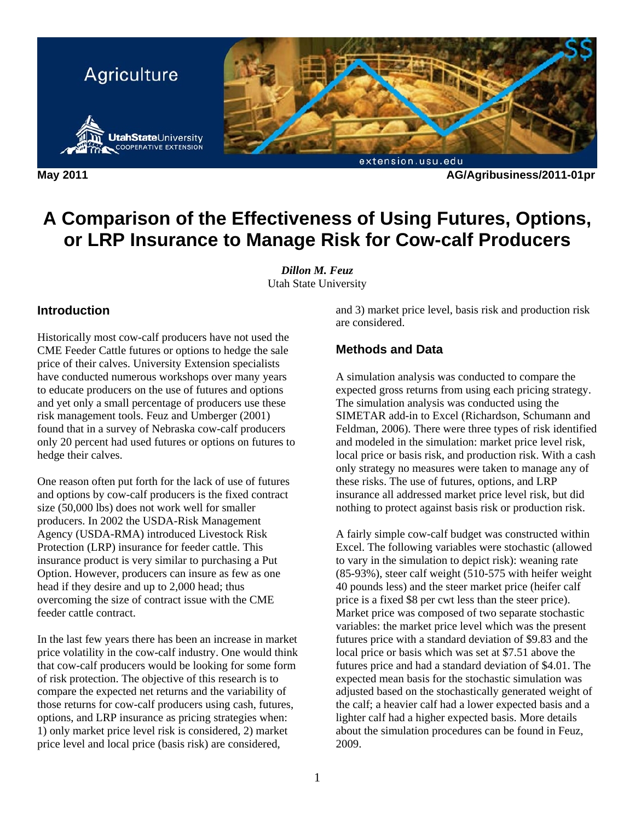

**May 2011 AG/Agribusiness/2011-01pr** 

# **A Comparison of the Effectiveness of Using Futures, Options, or LRP Insurance to Manage Risk for Cow-calf Producers**

*Dillon M. Feuz*  Utah State University

### **Introduction**

Historically most cow-calf producers have not used the CME Feeder Cattle futures or options to hedge the sale price of their calves. University Extension specialists have conducted numerous workshops over many years to educate producers on the use of futures and options and yet only a small percentage of producers use these risk management tools. Feuz and Umberger (2001) found that in a survey of Nebraska cow-calf producers only 20 percent had used futures or options on futures to hedge their calves.

One reason often put forth for the lack of use of futures and options by cow-calf producers is the fixed contract size (50,000 lbs) does not work well for smaller producers. In 2002 the USDA-Risk Management Agency (USDA-RMA) introduced Livestock Risk Protection (LRP) insurance for feeder cattle. This insurance product is very similar to purchasing a Put Option. However, producers can insure as few as one head if they desire and up to 2,000 head; thus overcoming the size of contract issue with the CME feeder cattle contract.

In the last few years there has been an increase in market price volatility in the cow-calf industry. One would think that cow-calf producers would be looking for some form of risk protection. The objective of this research is to compare the expected net returns and the variability of those returns for cow-calf producers using cash, futures, options, and LRP insurance as pricing strategies when: 1) only market price level risk is considered, 2) market price level and local price (basis risk) are considered,

and 3) market price level, basis risk and production risk are considered.

### **Methods and Data**

A simulation analysis was conducted to compare the expected gross returns from using each pricing strategy. The simulation analysis was conducted using the SIMETAR add-in to Excel (Richardson, Schumann and Feldman, 2006). There were three types of risk identified and modeled in the simulation: market price level risk, local price or basis risk, and production risk. With a cash only strategy no measures were taken to manage any of these risks. The use of futures, options, and LRP insurance all addressed market price level risk, but did nothing to protect against basis risk or production risk.

A fairly simple cow-calf budget was constructed within Excel. The following variables were stochastic (allowed to vary in the simulation to depict risk): weaning rate (85-93%), steer calf weight (510-575 with heifer weight 40 pounds less) and the steer market price (heifer calf price is a fixed \$8 per cwt less than the steer price). Market price was composed of two separate stochastic variables: the market price level which was the present futures price with a standard deviation of \$9.83 and the local price or basis which was set at \$7.51 above the futures price and had a standard deviation of \$4.01. The expected mean basis for the stochastic simulation was adjusted based on the stochastically generated weight of the calf; a heavier calf had a lower expected basis and a lighter calf had a higher expected basis. More details about the simulation procedures can be found in Feuz, 2009.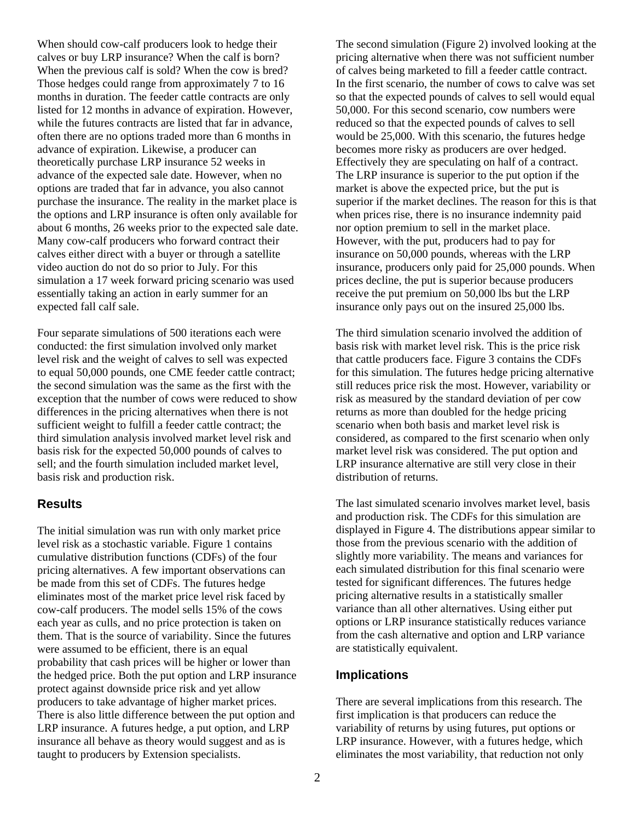When should cow-calf producers look to hedge their calves or buy LRP insurance? When the calf is born? When the previous calf is sold? When the cow is bred? Those hedges could range from approximately 7 to 16 months in duration. The feeder cattle contracts are only listed for 12 months in advance of expiration. However, while the futures contracts are listed that far in advance, often there are no options traded more than 6 months in advance of expiration. Likewise, a producer can theoretically purchase LRP insurance 52 weeks in advance of the expected sale date. However, when no options are traded that far in advance, you also cannot purchase the insurance. The reality in the market place is the options and LRP insurance is often only available for about 6 months, 26 weeks prior to the expected sale date. Many cow-calf producers who forward contract their calves either direct with a buyer or through a satellite video auction do not do so prior to July. For this simulation a 17 week forward pricing scenario was used essentially taking an action in early summer for an expected fall calf sale.

Four separate simulations of 500 iterations each were conducted: the first simulation involved only market level risk and the weight of calves to sell was expected to equal 50,000 pounds, one CME feeder cattle contract; the second simulation was the same as the first with the exception that the number of cows were reduced to show differences in the pricing alternatives when there is not sufficient weight to fulfill a feeder cattle contract; the third simulation analysis involved market level risk and basis risk for the expected 50,000 pounds of calves to sell; and the fourth simulation included market level, basis risk and production risk.

#### **Results**

The initial simulation was run with only market price level risk as a stochastic variable. Figure 1 contains cumulative distribution functions (CDFs) of the four pricing alternatives. A few important observations can be made from this set of CDFs. The futures hedge eliminates most of the market price level risk faced by cow-calf producers. The model sells 15% of the cows each year as culls, and no price protection is taken on them. That is the source of variability. Since the futures were assumed to be efficient, there is an equal probability that cash prices will be higher or lower than the hedged price. Both the put option and LRP insurance protect against downside price risk and yet allow producers to take advantage of higher market prices. There is also little difference between the put option and LRP insurance. A futures hedge, a put option, and LRP insurance all behave as theory would suggest and as is taught to producers by Extension specialists.

The second simulation (Figure 2) involved looking at the pricing alternative when there was not sufficient number of calves being marketed to fill a feeder cattle contract. In the first scenario, the number of cows to calve was set so that the expected pounds of calves to sell would equal 50,000. For this second scenario, cow numbers were reduced so that the expected pounds of calves to sell would be 25,000. With this scenario, the futures hedge becomes more risky as producers are over hedged. Effectively they are speculating on half of a contract. The LRP insurance is superior to the put option if the market is above the expected price, but the put is superior if the market declines. The reason for this is that when prices rise, there is no insurance indemnity paid nor option premium to sell in the market place. However, with the put, producers had to pay for insurance on 50,000 pounds, whereas with the LRP insurance, producers only paid for 25,000 pounds. When prices decline, the put is superior because producers receive the put premium on 50,000 lbs but the LRP insurance only pays out on the insured 25,000 lbs.

The third simulation scenario involved the addition of basis risk with market level risk. This is the price risk that cattle producers face. Figure 3 contains the CDFs for this simulation. The futures hedge pricing alternative still reduces price risk the most. However, variability or risk as measured by the standard deviation of per cow returns as more than doubled for the hedge pricing scenario when both basis and market level risk is considered, as compared to the first scenario when only market level risk was considered. The put option and LRP insurance alternative are still very close in their distribution of returns.

The last simulated scenario involves market level, basis and production risk. The CDFs for this simulation are displayed in Figure 4. The distributions appear similar to those from the previous scenario with the addition of slightly more variability. The means and variances for each simulated distribution for this final scenario were tested for significant differences. The futures hedge pricing alternative results in a statistically smaller variance than all other alternatives. Using either put options or LRP insurance statistically reduces variance from the cash alternative and option and LRP variance are statistically equivalent.

#### **Implications**

There are several implications from this research. The first implication is that producers can reduce the variability of returns by using futures, put options or LRP insurance. However, with a futures hedge, which eliminates the most variability, that reduction not only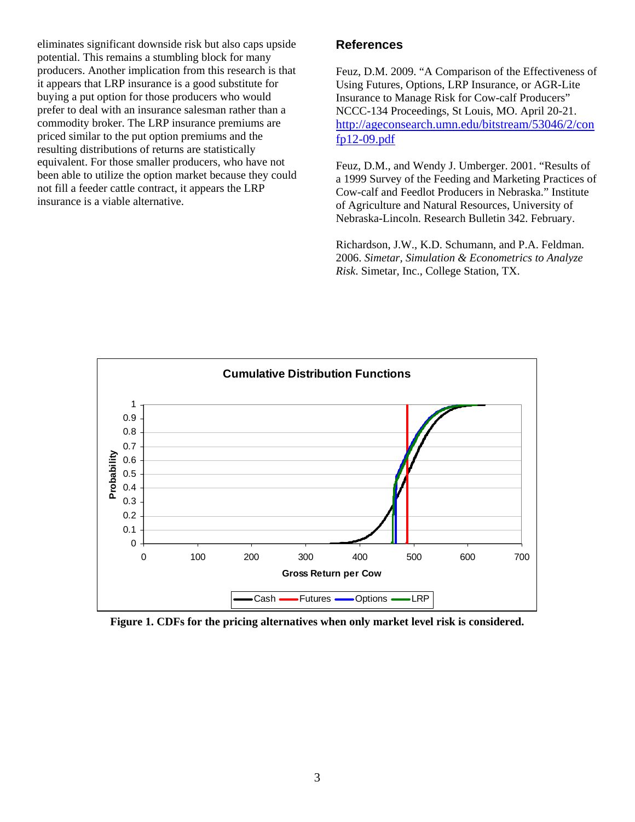eliminates significant downside risk but also caps upside potential. This remains a stumbling block for many producers. Another implication from this research is that it appears that LRP insurance is a good substitute for buying a put option for those producers who would prefer to deal with an insurance salesman rather than a commodity broker. The LRP insurance premiums are priced similar to the put option premiums and the resulting distributions of returns are statistically equivalent. For those smaller producers, who have not been able to utilize the option market because they could not fill a feeder cattle contract, it appears the LRP insurance is a viable alternative.

## **References**

Feuz, D.M. 2009. "A Comparison of the Effectiveness of Using Futures, Options, LRP Insurance, or AGR-Lite Insurance to Manage Risk for Cow-calf Producers" NCCC-134 Proceedings, St Louis, MO. April 20-21. http://ageconsearch.umn.edu/bitstream/53046/2/con fp12-09.pdf

Feuz, D.M., and Wendy J. Umberger. 2001. "Results of a 1999 Survey of the Feeding and Marketing Practices of Cow-calf and Feedlot Producers in Nebraska." Institute of Agriculture and Natural Resources, University of Nebraska-Lincoln. Research Bulletin 342. February.

Richardson, J.W., K.D. Schumann, and P.A. Feldman. 2006. *Simetar, Simulation & Econometrics to Analyze Risk*. Simetar, Inc., College Station, TX.



**Figure 1. CDFs for the pricing alternatives when only market level risk is considered.**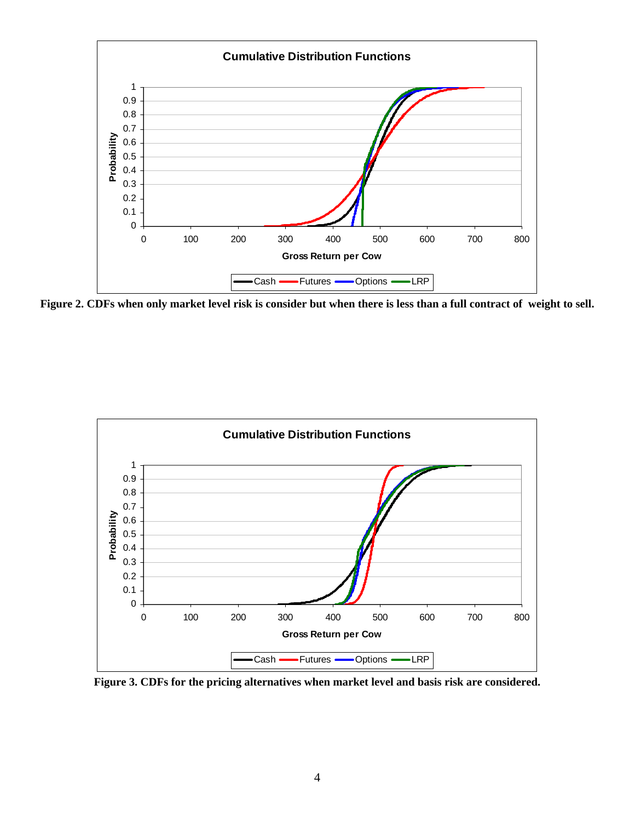

**Figure 2. CDFs when only market level risk is consider but when there is less than a full contract of weight to sell.** 



**Figure 3. CDFs for the pricing alternatives when market level and basis risk are considered.**